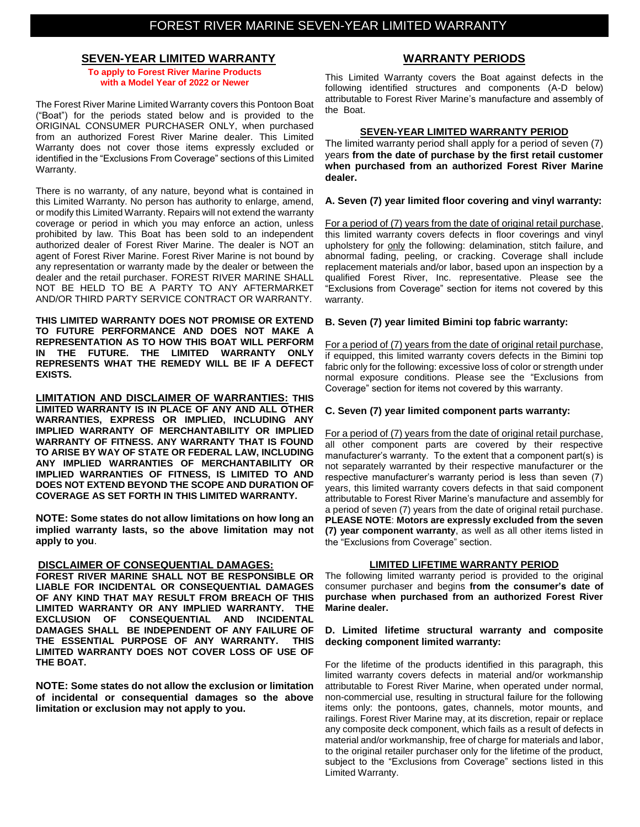## **SEVEN-YEAR LIMITED WARRANTY**

**To apply to Forest River Marine Products with a Model Year of 2022 or Newer**

The Forest River Marine Limited Warranty covers this Pontoon Boat ("Boat") for the periods stated below and is provided to the ORIGINAL CONSUMER PURCHASER ONLY, when purchased from an authorized Forest River Marine dealer. This Limited Warranty does not cover those items expressly excluded or identified in the "Exclusions From Coverage" sections of this Limited Warranty.

There is no warranty, of any nature, beyond what is contained in this Limited Warranty. No person has authority to enlarge, amend, or modify this Limited Warranty. Repairs will not extend the warranty coverage or period in which you may enforce an action, unless prohibited by law. This Boat has been sold to an independent authorized dealer of Forest River Marine. The dealer is NOT an agent of Forest River Marine. Forest River Marine is not bound by any representation or warranty made by the dealer or between the dealer and the retail purchaser. FOREST RIVER MARINE SHALL NOT BE HELD TO BE A PARTY TO ANY AFTERMARKET AND/OR THIRD PARTY SERVICE CONTRACT OR WARRANTY.

**THIS LIMITED WARRANTY DOES NOT PROMISE OR EXTEND TO FUTURE PERFORMANCE AND DOES NOT MAKE A REPRESENTATION AS TO HOW THIS BOAT WILL PERFORM IN THE FUTURE. THE LIMITED WARRANTY ONLY REPRESENTS WHAT THE REMEDY WILL BE IF A DEFECT EXISTS.**

**LIMITATION AND DISCLAIMER OF WARRANTIES: THIS LIMITED WARRANTY IS IN PLACE OF ANY AND ALL OTHER WARRANTIES, EXPRESS OR IMPLIED, INCLUDING ANY IMPLIED WARRANTY OF MERCHANTABILITY OR IMPLIED WARRANTY OF FITNESS. ANY WARRANTY THAT IS FOUND TO ARISE BY WAY OF STATE OR FEDERAL LAW, INCLUDING ANY IMPLIED WARRANTIES OF MERCHANTABILITY OR IMPLIED WARRANTIES OF FITNESS, IS LIMITED TO AND DOES NOT EXTEND BEYOND THE SCOPE AND DURATION OF COVERAGE AS SET FORTH IN THIS LIMITED WARRANTY.** 

**NOTE: Some states do not allow limitations on how long an implied warranty lasts, so the above limitation may not apply to you**.

## **DISCLAIMER OF CONSEQUENTIAL DAMAGES:**

**FOREST RIVER MARINE SHALL NOT BE RESPONSIBLE OR LIABLE FOR INCIDENTAL OR CONSEQUENTIAL DAMAGES OF ANY KIND THAT MAY RESULT FROM BREACH OF THIS LIMITED WARRANTY OR ANY IMPLIED WARRANTY. THE EXCLUSION OF CONSEQUENTIAL AND INCIDENTAL DAMAGES SHALL BE INDEPENDENT OF ANY FAILURE OF THE ESSENTIAL PURPOSE OF ANY WARRANTY. THIS LIMITED WARRANTY DOES NOT COVER LOSS OF USE OF THE BOAT.**

**NOTE: Some states do not allow the exclusion or limitation of incidental or consequential damages so the above limitation or exclusion may not apply to you.**

## **WARRANTY PERIODS**

This Limited Warranty covers the Boat against defects in the following identified structures and components (A-D below) attributable to Forest River Marine's manufacture and assembly of the Boat.

## **SEVEN-YEAR LIMITED WARRANTY PERIOD**

The limited warranty period shall apply for a period of seven (7) years **from the date of purchase by the first retail customer when purchased from an authorized Forest River Marine dealer.**

## **A. Seven (7) year limited floor covering and vinyl warranty:**

For a period of (7) years from the date of original retail purchase, this limited warranty covers defects in floor coverings and vinyl upholstery for only the following: delamination, stitch failure, and abnormal fading, peeling, or cracking. Coverage shall include replacement materials and/or labor, based upon an inspection by a qualified Forest River, Inc. representative. Please see the "Exclusions from Coverage" section for items not covered by this warranty.

## **B. Seven (7) year limited Bimini top fabric warranty:**

For a period of (7) years from the date of original retail purchase, if equipped, this limited warranty covers defects in the Bimini top fabric only for the following: excessive loss of color or strength under normal exposure conditions. Please see the "Exclusions from Coverage" section for items not covered by this warranty.

## **C. Seven (7) year limited component parts warranty:**

For a period of (7) years from the date of original retail purchase, all other component parts are covered by their respective manufacturer's warranty. To the extent that a component part(s) is not separately warranted by their respective manufacturer or the respective manufacturer's warranty period is less than seven (7) years, this limited warranty covers defects in that said component attributable to Forest River Marine's manufacture and assembly for a period of seven (7) years from the date of original retail purchase. **PLEASE NOTE**: **Motors are expressly excluded from the seven (7) year component warranty**, as well as all other items listed in the "Exclusions from Coverage" section.

## **LIMITED LIFETIME WARRANTY PERIOD**

The following limited warranty period is provided to the original consumer purchaser and begins **from the consumer's date of purchase when purchased from an authorized Forest River Marine dealer.**

#### **D. Limited lifetime structural warranty and composite decking component limited warranty:**

For the lifetime of the products identified in this paragraph, this limited warranty covers defects in material and/or workmanship attributable to Forest River Marine, when operated under normal, non-commercial use, resulting in structural failure for the following items only: the pontoons, gates, channels, motor mounts, and railings. Forest River Marine may, at its discretion, repair or replace any composite deck component, which fails as a result of defects in material and/or workmanship, free of charge for materials and labor, to the original retailer purchaser only for the lifetime of the product, subject to the "Exclusions from Coverage" sections listed in this Limited Warranty.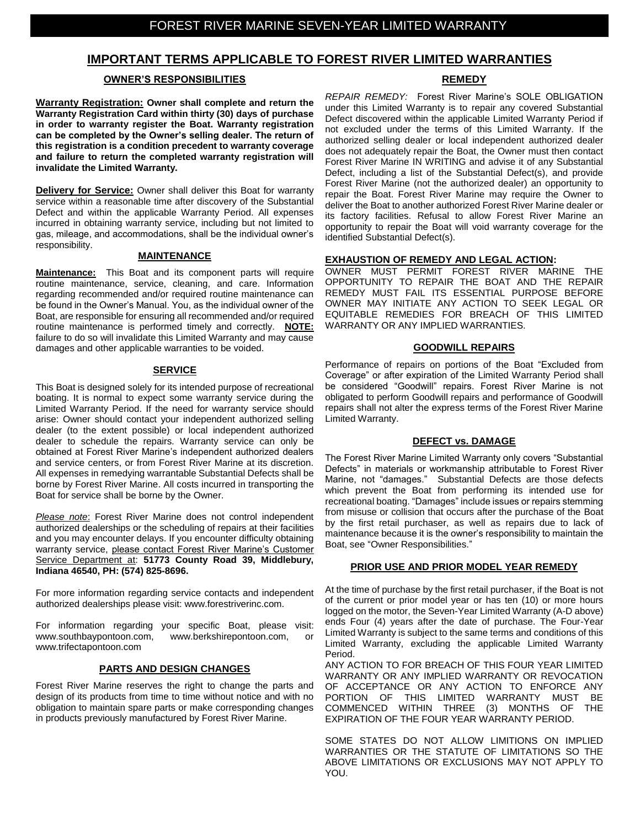# **IMPORTANT TERMS APPLICABLE TO FOREST RIVER LIMITED WARRANTIES**

## **OWNER'S RESPONSIBILITIES**

**Warranty Registration: Owner shall complete and return the Warranty Registration Card within thirty (30) days of purchase in order to warranty register the Boat. Warranty registration can be completed by the Owner's selling dealer. The return of this registration is a condition precedent to warranty coverage and failure to return the completed warranty registration will invalidate the Limited Warranty.**

**Delivery for Service:** Owner shall deliver this Boat for warranty service within a reasonable time after discovery of the Substantial Defect and within the applicable Warranty Period. All expenses incurred in obtaining warranty service, including but not limited to gas, mileage, and accommodations, shall be the individual owner's responsibility.

## **MAINTENANCE**

**Maintenance:** This Boat and its component parts will require routine maintenance, service, cleaning, and care. Information regarding recommended and/or required routine maintenance can be found in the Owner's Manual. You, as the individual owner of the Boat, are responsible for ensuring all recommended and/or required routine maintenance is performed timely and correctly. **NOTE:** failure to do so will invalidate this Limited Warranty and may cause damages and other applicable warranties to be voided.

## **SERVICE**

This Boat is designed solely for its intended purpose of recreational boating. It is normal to expect some warranty service during the Limited Warranty Period. If the need for warranty service should arise: Owner should contact your independent authorized selling dealer (to the extent possible) or local independent authorized dealer to schedule the repairs*.* Warranty service can only be obtained at Forest River Marine's independent authorized dealers and service centers, or from Forest River Marine at its discretion. All expenses in remedying warrantable Substantial Defects shall be borne by Forest River Marine. All costs incurred in transporting the Boat for service shall be borne by the Owner.

*Please note*: Forest River Marine does not control independent authorized dealerships or the scheduling of repairs at their facilities and you may encounter delays. If you encounter difficulty obtaining warranty service, please contact Forest River Marine's Customer Service Department at: **51773 County Road 39, Middlebury, Indiana 46540, PH: (574) 825-8696.**

For more information regarding service contacts and independent authorized dealerships please visit: www.forestriverinc.com.

For information regarding your specific Boat, please visit: www.southbaypontoon.com, www.berkshirepontoon.com, or www.trifectapontoon.com

## **PARTS AND DESIGN CHANGES**

Forest River Marine reserves the right to change the parts and design of its products from time to time without notice and with no obligation to maintain spare parts or make corresponding changes in products previously manufactured by Forest River Marine.

## **REMEDY**

*REPAIR REMEDY:* Forest River Marine's SOLE OBLIGATION under this Limited Warranty is to repair any covered Substantial Defect discovered within the applicable Limited Warranty Period if not excluded under the terms of this Limited Warranty. If the authorized selling dealer or local independent authorized dealer does not adequately repair the Boat, the Owner must then contact Forest River Marine IN WRITING and advise it of any Substantial Defect, including a list of the Substantial Defect(s), and provide Forest River Marine (not the authorized dealer) an opportunity to repair the Boat. Forest River Marine may require the Owner to deliver the Boat to another authorized Forest River Marine dealer or its factory facilities. Refusal to allow Forest River Marine an opportunity to repair the Boat will void warranty coverage for the identified Substantial Defect(s).

## **EXHAUSTION OF REMEDY AND LEGAL ACTION:**

OWNER MUST PERMIT FOREST RIVER MARINE THE OPPORTUNITY TO REPAIR THE BOAT AND THE REPAIR REMEDY MUST FAIL ITS ESSENTIAL PURPOSE BEFORE OWNER MAY INITIATE ANY ACTION TO SEEK LEGAL OR EQUITABLE REMEDIES FOR BREACH OF THIS LIMITED WARRANTY OR ANY IMPLIED WARRANTIES.

## **GOODWILL REPAIRS**

Performance of repairs on portions of the Boat "Excluded from Coverage" or after expiration of the Limited Warranty Period shall be considered "Goodwill" repairs. Forest River Marine is not obligated to perform Goodwill repairs and performance of Goodwill repairs shall not alter the express terms of the Forest River Marine Limited Warranty.

## **DEFECT vs. DAMAGE**

The Forest River Marine Limited Warranty only covers "Substantial Defects" in materials or workmanship attributable to Forest River Marine, not "damages." Substantial Defects are those defects which prevent the Boat from performing its intended use for recreational boating. "Damages" include issues or repairs stemming from misuse or collision that occurs after the purchase of the Boat by the first retail purchaser, as well as repairs due to lack of maintenance because it is the owner's responsibility to maintain the Boat, see "Owner Responsibilities."

## **PRIOR USE AND PRIOR MODEL YEAR REMEDY**

At the time of purchase by the first retail purchaser, if the Boat is not of the current or prior model year or has ten (10) or more hours logged on the motor, the Seven-Year Limited Warranty (A-D above) ends Four (4) years after the date of purchase. The Four-Year Limited Warranty is subject to the same terms and conditions of this Limited Warranty, excluding the applicable Limited Warranty Period.

ANY ACTION TO FOR BREACH OF THIS FOUR YEAR LIMITED WARRANTY OR ANY IMPLIED WARRANTY OR REVOCATION OF ACCEPTANCE OR ANY ACTION TO ENFORCE ANY PORTION OF THIS LIMITED WARRANTY MUST BE COMMENCED WITHIN THREE (3) MONTHS OF THE EXPIRATION OF THE FOUR YEAR WARRANTY PERIOD.

SOME STATES DO NOT ALLOW LIMITIONS ON IMPLIED WARRANTIES OR THE STATUTE OF LIMITATIONS SO THE ABOVE LIMITATIONS OR EXCLUSIONS MAY NOT APPLY TO YOU.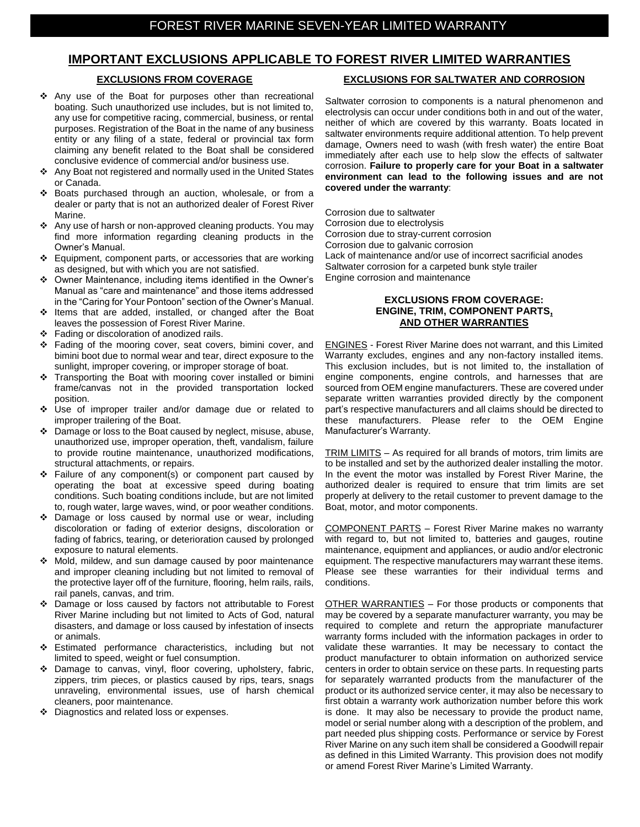# **IMPORTANT EXCLUSIONS APPLICABLE TO FOREST RIVER LIMITED WARRANTIES**

## **EXCLUSIONS FROM COVERAGE**

- Any use of the Boat for purposes other than recreational boating. Such unauthorized use includes, but is not limited to, any use for competitive racing, commercial, business, or rental purposes. Registration of the Boat in the name of any business entity or any filing of a state, federal or provincial tax form claiming any benefit related to the Boat shall be considered conclusive evidence of commercial and/or business use.
- Any Boat not registered and normally used in the United States or Canada.
- Boats purchased through an auction, wholesale, or from a dealer or party that is not an authorized dealer of Forest River Marine.
- Any use of harsh or non-approved cleaning products. You may find more information regarding cleaning products in the Owner's Manual.
- Equipment, component parts, or accessories that are working as designed, but with which you are not satisfied.
- Owner Maintenance, including items identified in the Owner's Manual as "care and maintenance" and those items addressed in the "Caring for Your Pontoon" section of the Owner's Manual.
- Items that are added, installed, or changed after the Boat leaves the possession of Forest River Marine.
- Fading or discoloration of anodized rails.
- ◆ Fading of the mooring cover, seat covers, bimini cover, and bimini boot due to normal wear and tear, direct exposure to the sunlight, improper covering, or improper storage of boat.
- Transporting the Boat with mooring cover installed or bimini frame/canvas not in the provided transportation locked position.
- Use of improper trailer and/or damage due or related to improper trailering of the Boat.
- ❖ Damage or loss to the Boat caused by neglect, misuse, abuse, unauthorized use, improper operation, theft, vandalism, failure to provide routine maintenance, unauthorized modifications, structural attachments, or repairs.
- $\div$  Failure of any component(s) or component part caused by operating the boat at excessive speed during boating conditions. Such boating conditions include, but are not limited to, rough water, large waves, wind, or poor weather conditions.
- Damage or loss caused by normal use or wear, including discoloration or fading of exterior designs, discoloration or fading of fabrics, tearing, or deterioration caused by prolonged exposure to natural elements.
- ◆ Mold, mildew, and sun damage caused by poor maintenance and improper cleaning including but not limited to removal of the protective layer off of the furniture, flooring, helm rails, rails, rail panels, canvas, and trim.
- Damage or loss caused by factors not attributable to Forest River Marine including but not limited to Acts of God, natural disasters, and damage or loss caused by infestation of insects or animals.
- Estimated performance characteristics, including but not limited to speed, weight or fuel consumption.
- Damage to canvas, vinyl, floor covering, upholstery, fabric, zippers, trim pieces, or plastics caused by rips, tears, snags unraveling, environmental issues, use of harsh chemical cleaners, poor maintenance.
- ◆ Diagnostics and related loss or expenses.

#### **EXCLUSIONS FOR SALTWATER AND CORROSION**

Saltwater corrosion to components is a natural phenomenon and electrolysis can occur under conditions both in and out of the water, neither of which are covered by this warranty. Boats located in saltwater environments require additional attention. To help prevent damage, Owners need to wash (with fresh water) the entire Boat immediately after each use to help slow the effects of saltwater corrosion. **Failure to properly care for your Boat in a saltwater environment can lead to the following issues and are not covered under the warranty**:

Corrosion due to saltwater Corrosion due to electrolysis Corrosion due to stray-current corrosion Corrosion due to galvanic corrosion Lack of maintenance and/or use of incorrect sacrificial anodes Saltwater corrosion for a carpeted bunk style trailer Engine corrosion and maintenance

## **EXCLUSIONS FROM COVERAGE: ENGINE, TRIM, COMPONENT PARTS, AND OTHER WARRANTIES**

ENGINES - Forest River Marine does not warrant, and this Limited Warranty excludes, engines and any non-factory installed items. This exclusion includes, but is not limited to, the installation of engine components, engine controls, and harnesses that are sourced from OEM engine manufacturers. These are covered under separate written warranties provided directly by the component part's respective manufacturers and all claims should be directed to these manufacturers. Please refer to the OEM Engine Manufacturer's Warranty.

TRIM LIMITS – As required for all brands of motors, trim limits are to be installed and set by the authorized dealer installing the motor. In the event the motor was installed by Forest River Marine, the authorized dealer is required to ensure that trim limits are set properly at delivery to the retail customer to prevent damage to the Boat, motor, and motor components.

COMPONENT PARTS – Forest River Marine makes no warranty with regard to, but not limited to, batteries and gauges, routine maintenance, equipment and appliances, or audio and/or electronic equipment. The respective manufacturers may warrant these items. Please see these warranties for their individual terms and conditions.

OTHER WARRANTIES – For those products or components that may be covered by a separate manufacturer warranty, you may be required to complete and return the appropriate manufacturer warranty forms included with the information packages in order to validate these warranties. It may be necessary to contact the product manufacturer to obtain information on authorized service centers in order to obtain service on these parts. In requesting parts for separately warranted products from the manufacturer of the product or its authorized service center, it may also be necessary to first obtain a warranty work authorization number before this work is done. It may also be necessary to provide the product name, model or serial number along with a description of the problem, and part needed plus shipping costs. Performance or service by Forest River Marine on any such item shall be considered a Goodwill repair as defined in this Limited Warranty. This provision does not modify or amend Forest River Marine's Limited Warranty.